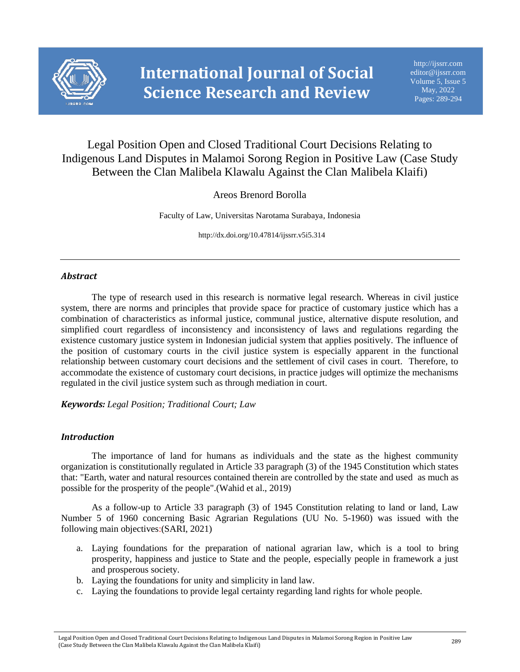

# Legal Position Open and Closed Traditional Court Decisions Relating to Indigenous Land Disputes in Malamoi Sorong Region in Positive Law (Case Study Between the Clan Malibela Klawalu Against the Clan Malibela Klaifi)

## Areos Brenord Borolla

Faculty of Law, Universitas Narotama Surabaya, Indonesia

http://dx.doi.org/10.47814/ijssrr.v5i5.314

## *Abstract*

The type of research used in this research is normative legal research. Whereas in civil justice system, there are norms and principles that provide space for practice of customary justice which has a combination of characteristics as informal justice, communal justice, alternative dispute resolution, and simplified court regardless of inconsistency and inconsistency of laws and regulations regarding the existence customary justice system in Indonesian judicial system that applies positively. The influence of the position of customary courts in the civil justice system is especially apparent in the functional relationship between customary court decisions and the settlement of civil cases in court. Therefore, to accommodate the existence of customary court decisions, in practice judges will optimize the mechanisms regulated in the civil justice system such as through mediation in court.

*Keywords: Legal Position; Traditional Court; Law*

### *Introduction*

The importance of land for humans as individuals and the state as the highest community organization is constitutionally regulated in Article 33 paragraph (3) of the 1945 Constitution which states that: "Earth, water and natural resources contained therein are controlled by the state and used as much as possible for the prosperity of the people".(Wahid et al., 2019)

As a follow-up to Article 33 paragraph (3) of 1945 Constitution relating to land or land, Law Number 5 of 1960 concerning Basic Agrarian Regulations (UU No. 5-1960) was issued with the following main objectives:(SARI, 2021)

- a. Laying foundations for the preparation of national agrarian law, which is a tool to bring prosperity, happiness and justice to State and the people, especially people in framework a just and prosperous society.
- b. Laying the foundations for unity and simplicity in land law.
- c. Laying the foundations to provide legal certainty regarding land rights for whole people.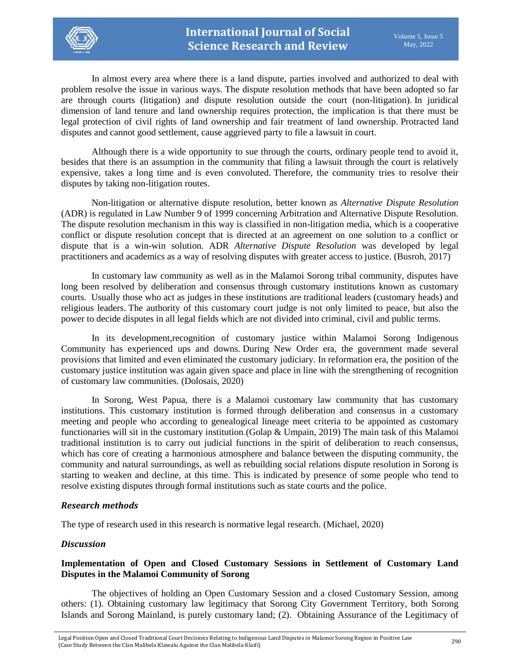

In almost every area where there is a land dispute, parties involved and authorized to deal with problem resolve the issue in various ways. The dispute resolution methods that have been adopted so far are through courts (litigation) and dispute resolution outside the court (non-litigation). In juridical dimension of land tenure and land ownership requires protection, the implication is that there must be legal protection of civil rights of land ownership and fair treatment of land ownership. Protracted land disputes and cannot good settlement, cause aggrieved party to file a lawsuit in court.

Although there is a wide opportunity to sue through the courts, ordinary people tend to avoid it, besides that there is an assumption in the community that filing a lawsuit through the court is relatively expensive, takes a long time and is even convoluted. Therefore, the community tries to resolve their disputes by taking non-litigation routes.

Non-litigation or alternative dispute resolution, better known as *Alternative Dispute Resolution* (ADR) is regulated in Law Number 9 of 1999 concerning Arbitration and Alternative Dispute Resolution. The dispute resolution mechanism in this way is classified in non-litigation media, which is a cooperative conflict or dispute resolution concept that is directed at an agreement on one solution to a conflict or dispute that is a win-win solution. ADR *Alternative Dispute Resolution* was developed by legal practitioners and academics as a way of resolving disputes with greater access to justice. (Busroh, 2017)

In customary law community as well as in the Malamoi Sorong tribal community, disputes have long been resolved by deliberation and consensus through customary institutions known as customary courts. Usually those who act as judges in these institutions are traditional leaders (customary heads) and religious leaders. The authority of this customary court judge is not only limited to peace, but also the power to decide disputes in all legal fields which are not divided into criminal, civil and public terms.

In its development,recognition of customary justice within Malamoi Sorong Indigenous Community has experienced ups and downs. During New Order era, the government made several provisions that limited and even eliminated the customary judiciary. In reformation era, the position of the customary justice institution was again given space and place in line with the strengthening of recognition of customary law communities. (Dolosais, 2020)

In Sorong, West Papua, there is a Malamoi customary law community that has customary institutions. This customary institution is formed through deliberation and consensus in a customary meeting and people who according to genealogical lineage meet criteria to be appointed as customary functionaries will sit in the customary institution.(Golap & Umpain, 2019) The main task of this Malamoi traditional institution is to carry out judicial functions in the spirit of deliberation to reach consensus, which has core of creating a harmonious atmosphere and balance between the disputing community, the community and natural surroundings, as well as rebuilding social relations dispute resolution in Sorong is starting to weaken and decline, at this time. This is indicated by presence of some people who tend to resolve existing disputes through formal institutions such as state courts and the police.

### *Research methods*

The type of research used in this research is normative legal research. (Michael, 2020)

### *Discussion*

## **Implementation of Open and Closed Customary Sessions in Settlement of Customary Land Disputes in the Malamoi Community of Sorong**

The objectives of holding an Open Customary Session and a closed Customary Session, among others: (1). Obtaining customary law legitimacy that Sorong City Government Territory, both Sorong Islands and Sorong Mainland, is purely customary land; (2). Obtaining Assurance of the Legitimacy of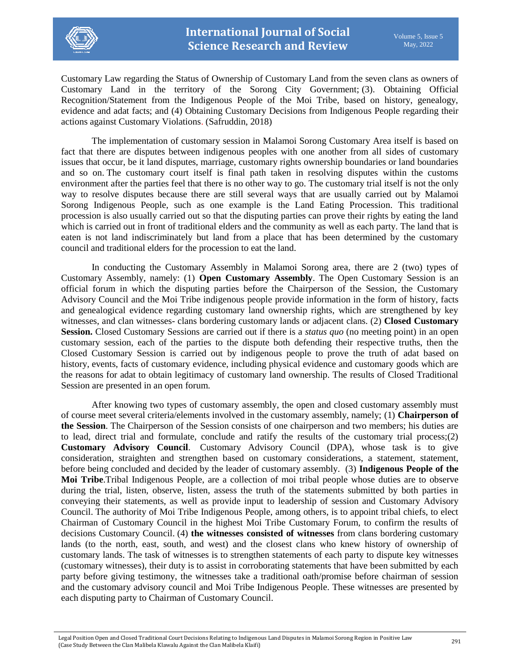

Customary Law regarding the Status of Ownership of Customary Land from the seven clans as owners of Customary Land in the territory of the Sorong City Government; (3). Obtaining Official Recognition/Statement from the Indigenous People of the Moi Tribe, based on history, genealogy, evidence and adat facts; and (4) Obtaining Customary Decisions from Indigenous People regarding their actions against Customary Violations. (Safruddin, 2018)

The implementation of customary session in Malamoi Sorong Customary Area itself is based on fact that there are disputes between indigenous peoples with one another from all sides of customary issues that occur, be it land disputes, marriage, customary rights ownership boundaries or land boundaries and so on. The customary court itself is final path taken in resolving disputes within the customs environment after the parties feel that there is no other way to go. The customary trial itself is not the only way to resolve disputes because there are still several ways that are usually carried out by Malamoi Sorong Indigenous People, such as one example is the Land Eating Procession. This traditional procession is also usually carried out so that the disputing parties can prove their rights by eating the land which is carried out in front of traditional elders and the community as well as each party. The land that is eaten is not land indiscriminately but land from a place that has been determined by the customary council and traditional elders for the procession to eat the land.

In conducting the Customary Assembly in Malamoi Sorong area, there are 2 (two) types of Customary Assembly, namely: (1) **Open Customary Assembly**. The Open Customary Session is an official forum in which the disputing parties before the Chairperson of the Session, the Customary Advisory Council and the Moi Tribe indigenous people provide information in the form of history, facts and genealogical evidence regarding customary land ownership rights, which are strengthened by key witnesses, and clan witnesses- clans bordering customary lands or adjacent clans. (2) **Closed Customary Session.** Closed Customary Sessions are carried out if there is a *status quo* (no meeting point) in an open customary session, each of the parties to the dispute both defending their respective truths, then the Closed Customary Session is carried out by indigenous people to prove the truth of adat based on history, events, facts of customary evidence, including physical evidence and customary goods which are the reasons for adat to obtain legitimacy of customary land ownership. The results of Closed Traditional Session are presented in an open forum.

After knowing two types of customary assembly, the open and closed customary assembly must of course meet several criteria/elements involved in the customary assembly, namely; (1) **Chairperson of the Session**. The Chairperson of the Session consists of one chairperson and two members; his duties are to lead, direct trial and formulate, conclude and ratify the results of the customary trial process;(2) **Customary Advisory Council**. Customary Advisory Council (DPA), whose task is to give consideration, straighten and strengthen based on customary considerations, a statement, statement, before being concluded and decided by the leader of customary assembly. (3) **Indigenous People of the Moi Tribe**.Tribal Indigenous People, are a collection of moi tribal people whose duties are to observe during the trial, listen, observe, listen, assess the truth of the statements submitted by both parties in conveying their statements, as well as provide input to leadership of session and Customary Advisory Council. The authority of Moi Tribe Indigenous People, among others, is to appoint tribal chiefs, to elect Chairman of Customary Council in the highest Moi Tribe Customary Forum, to confirm the results of decisions Customary Council. (4) **the witnesses consisted of witnesses** from clans bordering customary lands (to the north, east, south, and west) and the closest clans who knew history of ownership of customary lands. The task of witnesses is to strengthen statements of each party to dispute key witnesses (customary witnesses), their duty is to assist in corroborating statements that have been submitted by each party before giving testimony, the witnesses take a traditional oath/promise before chairman of session and the customary advisory council and Moi Tribe Indigenous People. These witnesses are presented by each disputing party to Chairman of Customary Council.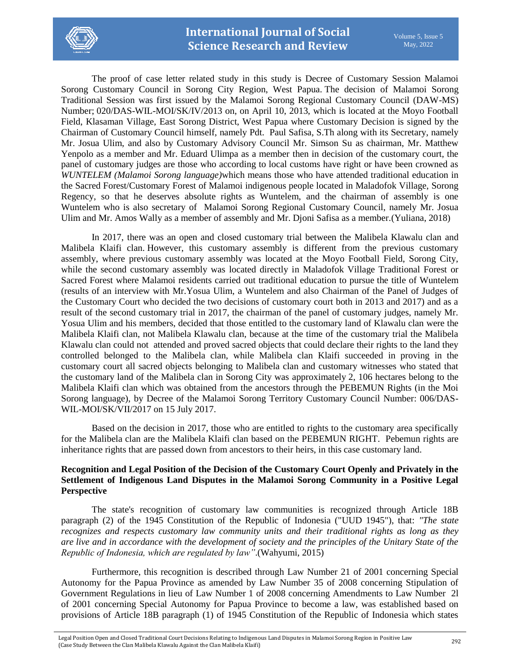

The proof of case letter related study in this study is Decree of Customary Session Malamoi Sorong Customary Council in Sorong City Region, West Papua. The decision of Malamoi Sorong Traditional Session was first issued by the Malamoi Sorong Regional Customary Council (DAW-MS) Number; 020/DAS-WIL-MOI/SK/IV/2013 on, on April 10, 2013, which is located at the Moyo Football Field, Klasaman Village, East Sorong District, West Papua where Customary Decision is signed by the Chairman of Customary Council himself, namely Pdt. Paul Safisa, S.Th along with its Secretary, namely Mr. Josua Ulim, and also by Customary Advisory Council Mr. Simson Su as chairman, Mr. Matthew Yenpolo as a member and Mr. Eduard Ulimpa as a member then in decision of the customary court, the panel of customary judges are those who according to local customs have right or have been crowned as *WUNTELEM (Malamoi Sorong language)*which means those who have attended traditional education in the Sacred Forest/Customary Forest of Malamoi indigenous people located in Maladofok Village, Sorong Regency, so that he deserves absolute rights as Wuntelem, and the chairman of assembly is one Wuntelem who is also secretary of Malamoi Sorong Regional Customary Council, namely Mr. Josua Ulim and Mr. Amos Wally as a member of assembly and Mr. Djoni Safisa as a member.(Yuliana, 2018)

In 2017, there was an open and closed customary trial between the Malibela Klawalu clan and Malibela Klaifi clan. However, this customary assembly is different from the previous customary assembly, where previous customary assembly was located at the Moyo Football Field, Sorong City, while the second customary assembly was located directly in Maladofok Village Traditional Forest or Sacred Forest where Malamoi residents carried out traditional education to pursue the title of Wuntelem (results of an interview with Mr.Yosua Ulim, a Wuntelem and also Chairman of the Panel of Judges of the Customary Court who decided the two decisions of customary court both in 2013 and 2017) and as a result of the second customary trial in 2017, the chairman of the panel of customary judges, namely Mr. Yosua Ulim and his members, decided that those entitled to the customary land of Klawalu clan were the Malibela Klaifi clan, not Malibela Klawalu clan, because at the time of the customary trial the Malibela Klawalu clan could not attended and proved sacred objects that could declare their rights to the land they controlled belonged to the Malibela clan, while Malibela clan Klaifi succeeded in proving in the customary court all sacred objects belonging to Malibela clan and customary witnesses who stated that the customary land of the Malibela clan in Sorong City was approximately 2, 106 hectares belong to the Malibela Klaifi clan which was obtained from the ancestors through the PEBEMUN Rights (in the Moi Sorong language), by Decree of the Malamoi Sorong Territory Customary Council Number: 006/DAS-WIL-MOI/SK/VII/2017 on 15 July 2017.

Based on the decision in 2017, those who are entitled to rights to the customary area specifically for the Malibela clan are the Malibela Klaifi clan based on the PEBEMUN RIGHT. Pebemun rights are inheritance rights that are passed down from ancestors to their heirs, in this case customary land.

## **Recognition and Legal Position of the Decision of the Customary Court Openly and Privately in the Settlement of Indigenous Land Disputes in the Malamoi Sorong Community in a Positive Legal Perspective**

The state's recognition of customary law communities is recognized through Article 18B paragraph (2) of the 1945 Constitution of the Republic of Indonesia ("UUD 1945"), that: *"The state recognizes and respects customary law community units and their traditional rights as long as they are live and in accordance with the development of society and the principles of the Unitary State of the Republic of Indonesia, which are regulated by law"*.(Wahyumi, 2015)

Furthermore, this recognition is described through Law Number 21 of 2001 concerning Special Autonomy for the Papua Province as amended by Law Number 35 of 2008 concerning Stipulation of Government Regulations in lieu of Law Number 1 of 2008 concerning Amendments to Law Number 2l of 2001 concerning Special Autonomy for Papua Province to become a law, was established based on provisions of Article 18B paragraph (1) of 1945 Constitution of the Republic of Indonesia which states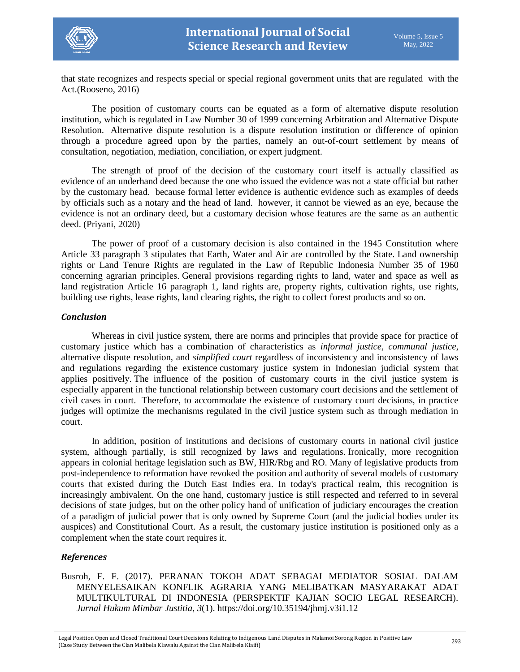

that state recognizes and respects special or special regional government units that are regulated with the Act.(Rooseno, 2016)

The position of customary courts can be equated as a form of alternative dispute resolution institution, which is regulated in Law Number 30 of 1999 concerning Arbitration and Alternative Dispute Resolution. Alternative dispute resolution is a dispute resolution institution or difference of opinion through a procedure agreed upon by the parties, namely an out-of-court settlement by means of consultation, negotiation, mediation, conciliation, or expert judgment.

The strength of proof of the decision of the customary court itself is actually classified as evidence of an underhand deed because the one who issued the evidence was not a state official but rather by the customary head. because formal letter evidence is authentic evidence such as examples of deeds by officials such as a notary and the head of land. however, it cannot be viewed as an eye, because the evidence is not an ordinary deed, but a customary decision whose features are the same as an authentic deed. (Priyani, 2020)

The power of proof of a customary decision is also contained in the 1945 Constitution where Article 33 paragraph 3 stipulates that Earth, Water and Air are controlled by the State. Land ownership rights or Land Tenure Rights are regulated in the Law of Republic Indonesia Number 35 of 1960 concerning agrarian principles. General provisions regarding rights to land, water and space as well as land registration Article 16 paragraph 1, land rights are, property rights, cultivation rights, use rights, building use rights, lease rights, land clearing rights, the right to collect forest products and so on.

### *Conclusion*

Whereas in civil justice system, there are norms and principles that provide space for practice of customary justice which has a combination of characteristics as *informal justice, communal justice*, alternative dispute resolution, and *simplified court* regardless of inconsistency and inconsistency of laws and regulations regarding the existence customary justice system in Indonesian judicial system that applies positively. The influence of the position of customary courts in the civil justice system is especially apparent in the functional relationship between customary court decisions and the settlement of civil cases in court. Therefore, to accommodate the existence of customary court decisions, in practice judges will optimize the mechanisms regulated in the civil justice system such as through mediation in court.

In addition, position of institutions and decisions of customary courts in national civil justice system, although partially, is still recognized by laws and regulations. Ironically, more recognition appears in colonial heritage legislation such as BW, HIR/Rbg and RO. Many of legislative products from post-independence to reformation have revoked the position and authority of several models of customary courts that existed during the Dutch East Indies era. In today's practical realm, this recognition is increasingly ambivalent. On the one hand, customary justice is still respected and referred to in several decisions of state judges, but on the other policy hand of unification of judiciary encourages the creation of a paradigm of judicial power that is only owned by Supreme Court (and the judicial bodies under its auspices) and Constitutional Court. As a result, the customary justice institution is positioned only as a complement when the state court requires it.

## *References*

Busroh, F. F. (2017). PERANAN TOKOH ADAT SEBAGAI MEDIATOR SOSIAL DALAM MENYELESAIKAN KONFLIK AGRARIA YANG MELIBATKAN MASYARAKAT ADAT MULTIKULTURAL DI INDONESIA (PERSPEKTIF KAJIAN SOCIO LEGAL RESEARCH). *Jurnal Hukum Mimbar Justitia*, *3*(1). https://doi.org/10.35194/jhmj.v3i1.12